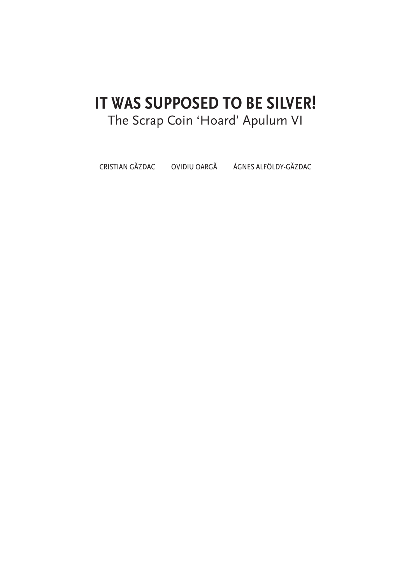## IT WAS SUPPOSED TO BE SILVER! The Scrap Coin 'Hoard' Apulum VI

CRISTIAN GĂZDAC OVIDIU OARGĂ ÁGNES ALFÖLDY-GĂZDAC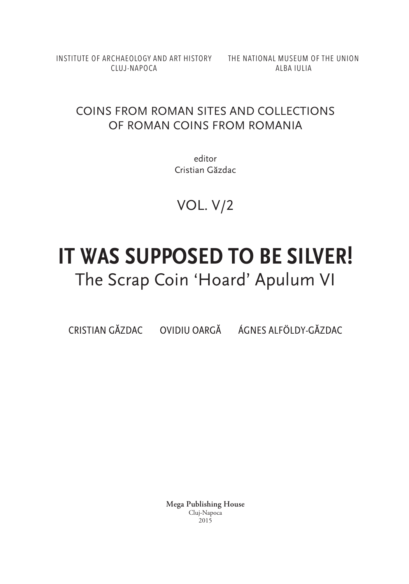INSTITUTE OF ARCHAEOLOGY AND ART HISTORY THE NATIONAL MUSEUM OF THE UNION CLUJ-NAPOCA

ALBA IULIA

### COINS FROM ROMAN SITES AND COLLECTIONS OF ROMAN COINS FROM ROMANIA

editor Cristian Găzdac

VOL. V/2

# **IT WAS SUPPOSED TO BE SILVER!** The Scrap Coin 'Hoard' Apulum VI

CRISTIAN GĂZDAC OVIDIU OARGĂ ÁGNES ALFÖLDY-GĂZDAC

**Mega Publishing House** Cluj-Napoca 2015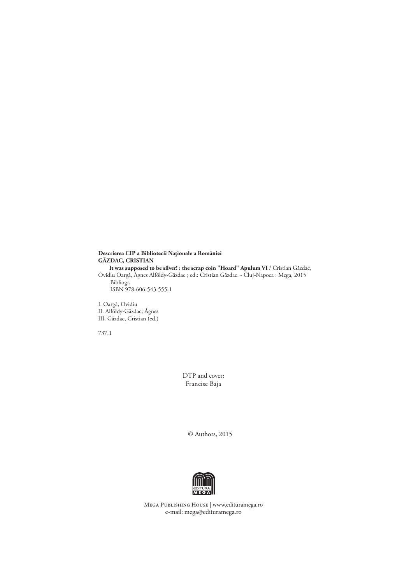#### **Descrierea CIP a Bibliotecii Naţionale a României GĂZDAC, CRISTIAN It was supposed to be silver! : the scrap coin "Hoard" Apulum VI** / Cristian Găzdac, Ovidiu Oargă, Ágnes Alföldy-Găzdac ; ed.: Cristian Găzdac. - Cluj-Napoca : Mega, 2015 Bibliogr. ISBN 978-606-543-555-1

I. Oargă, Ovidiu II. Alföldy-Găzdac, Ágnes III. Găzdac, Cristian (ed.)

737.1

DTP and cover: Francisc Baja

© Authors, 2015



Mega Publishing House | www.edituramega.ro e‑mail: mega@edituramega.ro